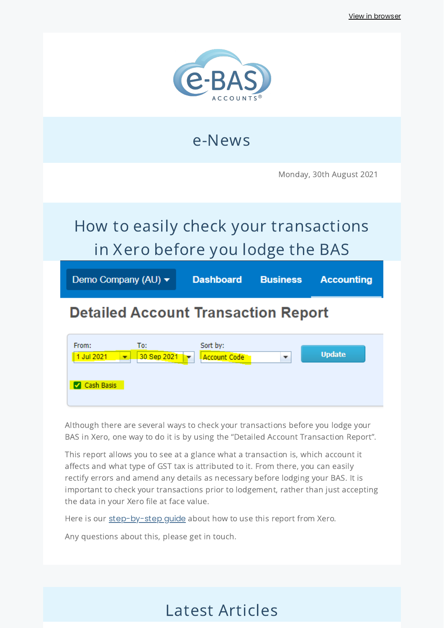

e-News

Monday, 30th August 2021

# How to easily check your transactions in Xero before you lodge the BAS

Demo Company (AU) ▼

**Dashboard** 

**Business Accounting** 

### **Detailed Account Transaction Report**

| From:<br>Jul 2021 | To:<br>30 Sep 2021 | Sort by:<br>Account Code | ۰ | <b>Update</b> |
|-------------------|--------------------|--------------------------|---|---------------|
| Cash Basis        |                    |                          |   |               |

Although there are several ways to check your transactions before you lodge your BAS in Xero, one way to do it is by using the "Detailed Account Transaction Report".

This report allows you to see at a glance what a transaction is, which account it affects and what type of GST tax is attributed to it. From there, you can easily rectify errors and amend any details as necessary before lodging your BAS. It is important to check your transactions prior to lodgement, rather than just accepting the data in your Xero file at face value.

Here is our [step-by-step](https://www.e-bas.com.au/detailed-account-transaction-report-in-xero/) quide about how to use this report from Xero.

Any questions about this, please get in touch.

## Latest Articles